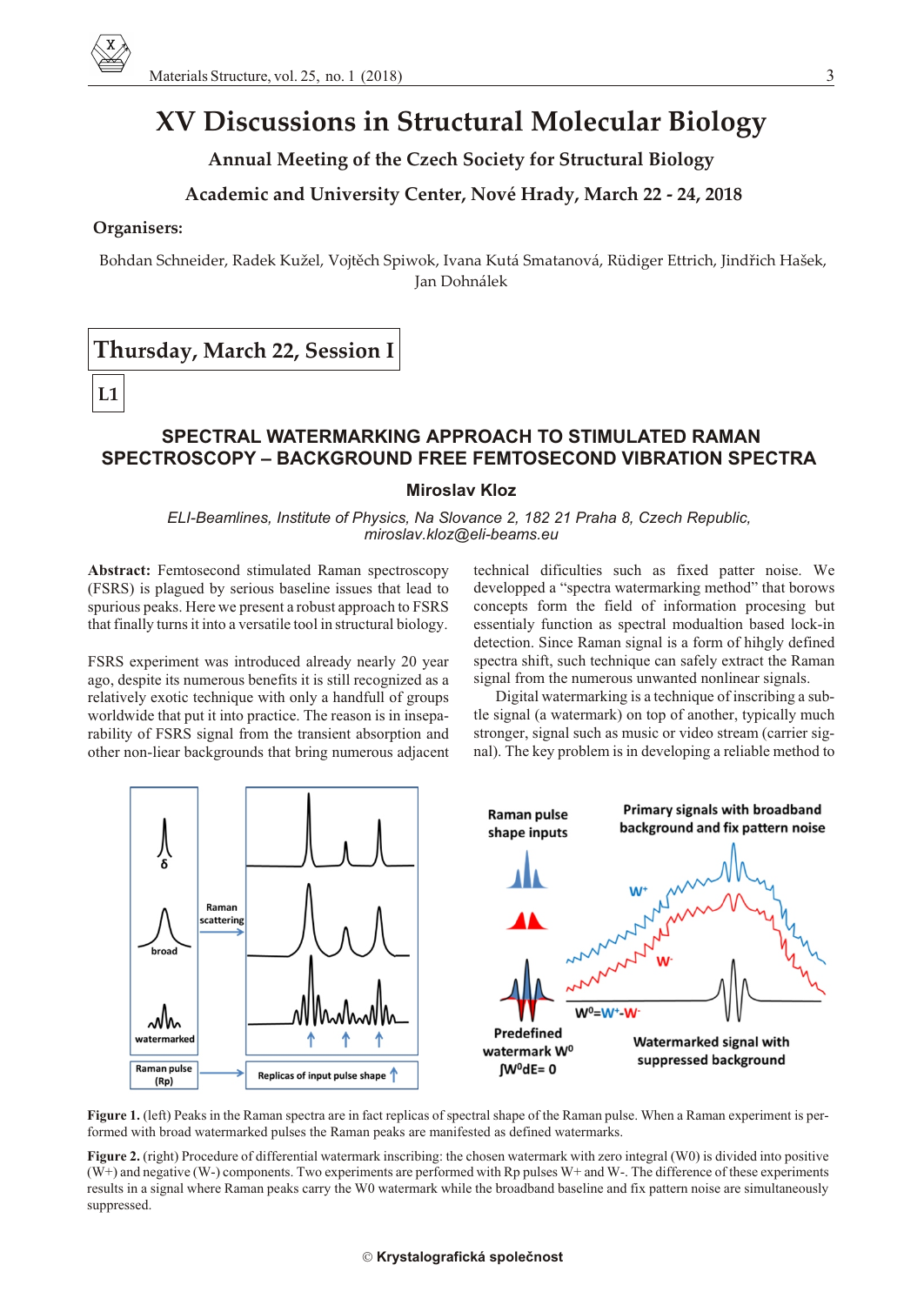# **XV Discussions in Structural Molecular Biology**

**Annual Meeting of the Czech Society for Structural Biology**

## **Academic and University Center, Nové Hrady, March 22 - 24, 2018**

#### **Organisers:**

Bohdan Schneider, Radek Kužel, Vojtěch Spiwok, Ivana Kutá Smatanová, Rüdiger Ettrich, Jindřich Hašek, Jan Dohnálek

## **Thursday, March 22, Session I**

**L1**

## **SPECTRAL WATERMARKING APPROACH TO STIMULATED RAMAN SPECTROSCOPY – BACKGROUND FREE FEMTOSECOND VIBRATION SPECTRA**

#### **Miroslav Kloz**

*ELI-Beamlines, Institute of Physics, Na Slovance 2, 182 21 Praha 8, Czech Republic, miroslav.kloz@eli-beams.eu*

**Abstract:** Femtosecond stimulated Raman spectroscopy (FSRS) is plagued by serious baseline issues that lead to spurious peaks. Here we present a robust approach to FSRS that finally turns it into a versatile tool in structural biology.

FSRS experiment was introduced already nearly 20 year ago, despite its numerous benefits it is still recognized as a relatively exotic technique with only a handfull of groups world wide that put it into practice. The reason is in inseparability of FSRS signal from the transient absorption and other non-liear backgrounds that bring numerous adjacent technical dificulties such as fixed patter noise. We developped a "spectra watermarking method" that borows concepts form the field of information procesing but essentialy function as spectral modualtion based lock-in detection. Since Raman signal is a form of hihgly defined spectra shift, such technique can safely extract the Raman signal from the numerous unwanted nonlinear signals.

Digital watermarking is a technique of inscribing a subtle signal (a watermark) on top of another, typically much stronger, signal such as music or video stream (carrier signal). The key problem is in developing a reliable method to



**Figure 1.** (left) Peaks in the Raman spectra are in fact replicas of spectral shape of the Raman pulse. When a Raman experiment is performed with broad watermarked pulses the Raman peaks are manifested as defined watermarks.

**Figure 2.** (right) Procedure of differential watermark inscribing: the chosen watermark with zero integral (W0) is divided into positive  $(W<sup>+</sup>)$  and negative  $(W<sup>-</sup>)$  components. Two experiments are performed with Rp pulses  $W<sup>+</sup>$  and  $W<sup>-</sup>$ . The difference of these experiments results in a signal where Raman peaks carry the W0 watermark while the broadband baseline and fix pattern noise are simultaneously suppressed.

#### **Krystalografická spoleènost**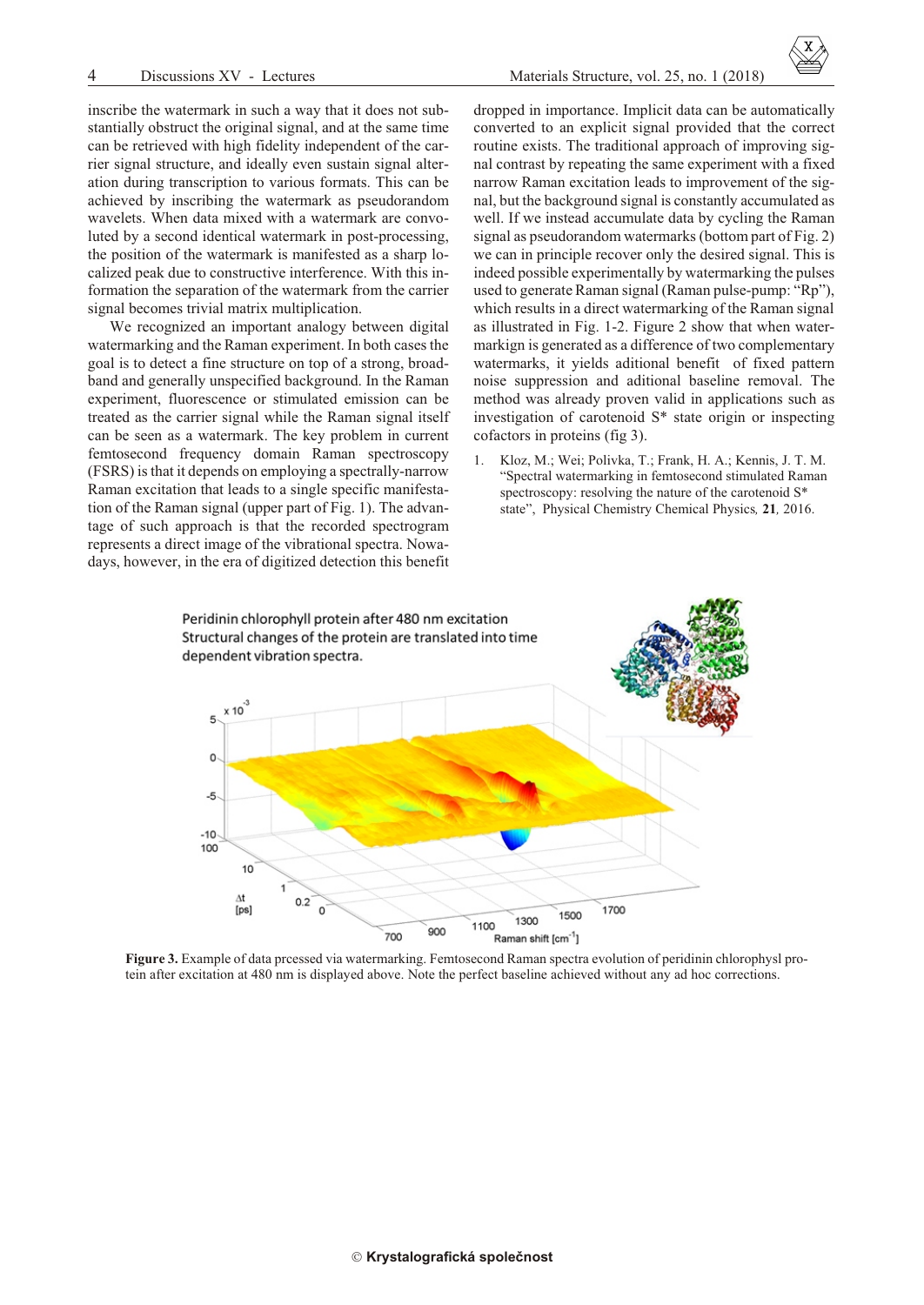inscribe the watermark in such a way that it does not substantially obstruct the original signal, and at the same time can be retrieved with high fidelity independent of the carrier signal structure, and ideally even sustain signal alteration during transcription to various formats. This can be achieved by inscribing the watermark as pseudorandom wavelets. When data mixed with a watermark are convoluted by a second identical watermark in post-processing, the position of the watermark is manifested as a sharp localized peak due to constructive interference. With this information the separation of the watermark from the carrier signal becomes trivial matrix multiplication.

We recognized an important analogy between digital watermarking and the Raman experiment. In both cases the goal is to detect a fine structure on top of a strong, broad band and generally unspecified background. In the Raman experiment, fluorescence or stimulated emission can be treated as the carrier signal while the Raman signal itself can be seen as a watermark. The key problem in current femto second frequency domain Raman spectroscopy (FSRS) is that it depends on employing a spectrally-narrow Raman excitation that leads to a single specific manifestation of the Raman signal (upper part of Fig. 1). The advantage of such approach is that the recorded spectrogram represents a direct image of the vibrational spectra. Now adays, however, in the era of digitized detection this benefit



1. Kloz, M.; Wei; Polivka, T.; Frank, H. A.; Kennis, J. T. M. "Spectral watermarking in femtosecond stimulated Raman spectroscopy: resolving the nature of the carotenoid  $S^*$ state", Physical Chemistry Chemical Physics, 21, 2016.



**Figure 3.** Example of data prcessed via watermarking. Femtosecond Raman spectra evolution of peridinin chlorophysl protein after excitation at 480 nm is displayed above. Note the perfect baseline achieved without any ad hoc corrections.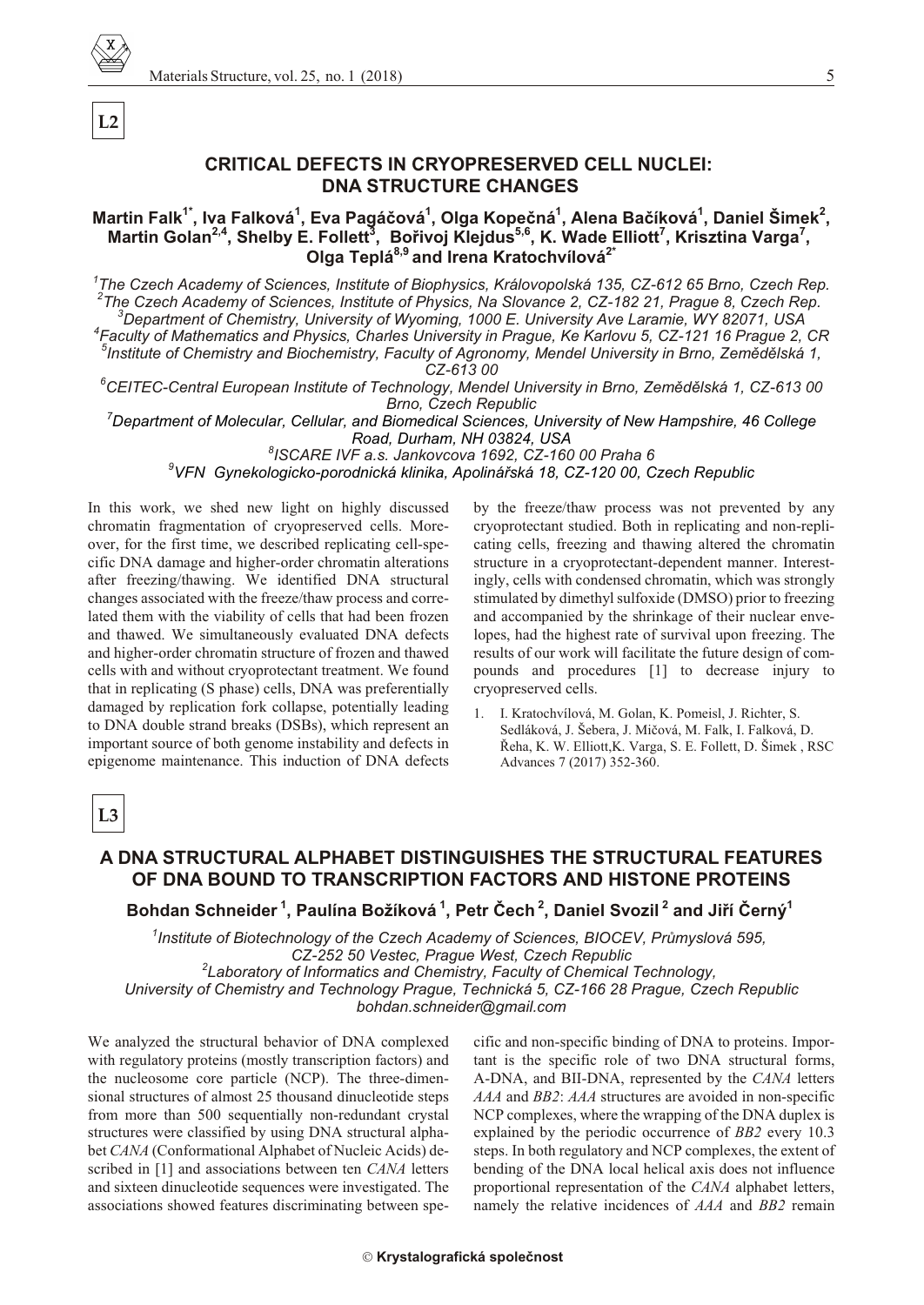

**L2**

## **CRITICAL DEFECTS IN CRYOPRESERVED CELL NUCLEI: DNA STRUCTURE CHANGES**

#### **Mar tin Falk1\*, Iva Falková<sup>1</sup> , Eva Pagáèová<sup>1</sup> , Olga Kopeèná<sup>1</sup> , Alena Baèíková<sup>1</sup> , Dan iel Šimek<sup>2</sup> , Mar tin Golan2,4, Shelby E. Follett<sup>3</sup> , Boøivoj Klejdus5,6, K. Wade Elliott<sup>7</sup> , Krisztina Varga<sup>7</sup> , Olga Teplá8,9 and Irena Kratochvílová2\***

<sup>1</sup> The Czech Academy of Sciences, Institute of Biophysics, Královopolská 135, CZ-612 65 Brno, Czech Rep. <sup>2</sup> The Czech Academy of Sciences, Institute of Physics, Na Slovance 2, CZ-182 21, Prague 8, Czech Rep. <sup>3</sup>Department of Chemistry, University of Wyoming, 1000 E. University Ave Laramie, WY 82071, USA *4 Fac ulty of Math e matics and Phys ics, Charles Uni ver sity in Prague, Ke Karlovu 5, CZ-121 16 Prague 2, CR*

*5 In sti tute of Chem is try and Bio chem is try, Fac ulty of Agron omy, Men del Uni ver sity in Brno, Zemìdìlská 1, CZ-613 00*

*<sup>6</sup>CEITEC-Cen tral Eu ro pean In sti tute of Tech nol ogy, Men del Uni ver sity in Brno, Zemìdìlská 1, CZ-613 00* **Brno, Czech Republic** 

<sup>7</sup>*Department of Molecular, Cellular, and Biomedical Sciences, University of New Hampshire, 46 College Road, Dur ham, NH 03824, USA*

*8 ISCARE IVF a.s. Jankovcova 1692, CZ-160 00 Praha 6* <sup>9</sup>VFN Gynekologicko-porodnická klinika, Apolinářská 18, CZ-120 00, Czech Republic

In this work, we shed new light on highly discussed chromatin fragmentation of cryopreserved cells. Moreover, for the first time, we described replicating cell-specific DNA damage and higher-order chromatin alterations after freezing/thawing. We identified DNA structural changes associated with the freeze/thaw process and correlated them with the viability of cells that had been frozen and thawed. We simultaneously evaluated DNA defects and higher-order chromatin structure of frozen and thawed cells with and without cryoprotectant treatment. We found that in replicating (S phase) cells, DNA was preferentially damaged by replication fork collapse, potentially leading to DNA double strand breaks (DSBs), which represent an important source of both genome instability and defects in epigenome maintenance. This induction of DNA defects

by the freeze/thaw process was not prevented by any cryoprotectant studied. Both in replicating and non-replicating cells, freezing and thawing altered the chromatin structure in a cryoprotectant-dependent manner. Interestingly, cells with condensed chromatin, which was strongly stimulated by dimethyl sulfoxide (DMSO) prior to freezing and accompanied by the shrinkage of their nuclear envelopes, had the highest rate of survival upon freezing. The results of our work will facilitate the future design of compounds and procedures [1] to decrease injury to cryopreserved cells.

1. I. Kratochvílová, M. Golan, K. Pomeisl, J. Richter, S. Sedláková, J. Šebera, J. Mièová, M. Falk, I. Falková, D. Řeha, K. W. Elliott, K. Varga, S. E. Follett, D. Šimek, RSC Advances 7 (2017) 352-360.

**L3**

## **A DNA STRUCTURAL ALPHABET DISTINGUISHES THE STRUCTURAL FEATURES OF DNA BOUND TO TRANSCRIPTION FACTORS AND HISTONE PROTEINS**

**Bohdan Schnei der<sup>1</sup>, Paulína Božíková<sup>1</sup>, Petr Èech<sup>2</sup>, Dan iel Svozil<sup>2</sup> and Jiøí Èerný<sup>1</sup>**

<sup>1</sup> Institute of Biotechnology of the Czech Academy of Sciences, BIOCEV, Průmyslová 595, CZ-252 50 Vestec, Prague West, Czech Republic <sup>2</sup> Laboratory of Informatics and Chemistry, Faculty of Chemical Technology, University of Chemistry and Technology Prague, Technická 5, CZ-166 28 Prague, Czech Republic

*bohdan.schnei der@gmail.com*

We analyzed the structural behavior of DNA complexed with regulatory proteins (mostly transcription factors) and the nucleosome core particle (NCP). The three-dimensional structures of almost 25 thousand dinucleotide steps from more than 500 sequentially non-redundant crystal structures were classified by using DNA structural alphabet *CANA* (Conformational Alphabet of Nucleic Acids) described in [1] and associations between ten *CANA* letters and sixteen dinucleotide sequences were investigated. The associations showed features discriminating between spe-

cific and non-specific binding of DNA to proteins. Important is the specific role of two DNA structural forms, A-DNA, and BII-DNA, represented by the *CANA* letters *AAA* and *BB2*: *AAA* structures are avoided in non-specific NCP complexes, where the wrapping of the DNA duplex is explained by the periodic occurrence of *BB2* every 10.3 steps. In both regulatory and NCP complexes, the extent of bending of the DNA local helical axis does not influence proportional representation of the *CANA* alphabet letters, namely the relative incidences of *AAA* and *BB2* remain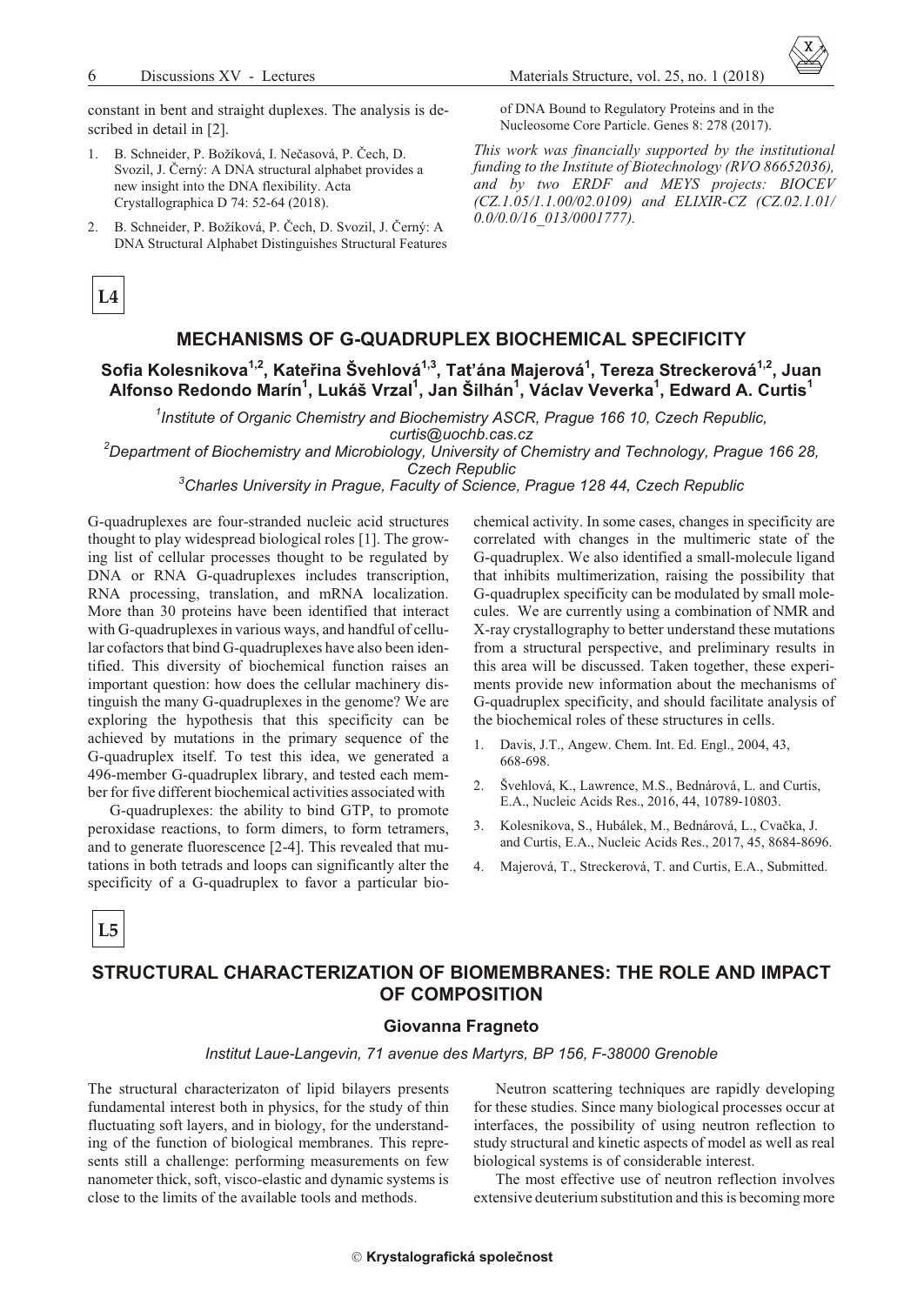constant in bent and straight duplexes. The analysis is described in detail in [2].

- 1. B. Schneider, P. Božíková, I. Nečasová, P. Čech, D. Svozil, J. Černý: A DNA structural alphabet provides a new insight into the DNA flexibility. Acta Crystallographica D 74: 52-64 (2018).
- B. Schneider, P. Božíková, P. Čech, D. Svozil, J. Černý: A.  $2<sup>1</sup>$ DNA Structural Alphabet Distinguishes Structural Features

of DNA Bound to Regulatory Proteins and in the Nucleosome Core Particle. Genes 8: 278 (2017).

This work was financially supported by the institutional funding to the Institute of Biotechnology (RVO 86652036), and by two ERDF and MEYS projects: BIOCEV (CZ.1.05/1.1.00/02.0109) and ELIXIR-CZ (CZ.02.1.01/  $0.0$ /0.0/16 013/0001777).

## $L4$

## MECHANISMS OF G-QUADRUPLEX BIOCHEMICAL SPECIFICITY

Sofia Kolesnikova<sup>1,2</sup>, Kateřina Švehlová<sup>1,3</sup>, Taťána Majerová<sup>1</sup>, Tereza Streckerová<sup>1,2</sup>, Juan Alfonso Redondo Marín<sup>1</sup>, Lukáš Vrzal<sup>1</sup>, Jan Šilhán<sup>1</sup>, Václav Veverka<sup>1</sup>, Edward A. Curtis<sup>1</sup>

 $1$ Institute of Organic Chemistry and Biochemistry ASCR, Prague 166 10, Czech Republic, curtis@uochb.cas.cz

 ${}^{2}$ Department of Biochemistry and Microbiology. University of Chemistry and Technology. Prague 166 28.

**Czech Republic** 

<sup>3</sup>Charles University in Prague, Faculty of Science, Prague 128 44, Czech Republic

G-quadruplexes are four-stranded nucleic acid structures thought to play widespread biological roles [1]. The growing list of cellular processes thought to be regulated by DNA or RNA G-quadruplexes includes transcription, RNA processing, translation, and mRNA localization. More than 30 proteins have been identified that interact with G-quadruplexes in various ways, and handful of cellular cofactors that bind G-quadruplexes have also been identified. This diversity of biochemical function raises an important question: how does the cellular machinery distinguish the many G-quadruplexes in the genome? We are exploring the hypothesis that this specificity can be achieved by mutations in the primary sequence of the G-quadruplex itself. To test this idea, we generated a 496-member G-quadruplex library, and tested each member for five different biochemical activities associated with

G-quadruplexes: the ability to bind GTP, to promote peroxidase reactions, to form dimers, to form tetramers, and to generate fluorescence [2-4]. This revealed that mutations in both tetrads and loops can significantly alter the specificity of a G-quadruplex to favor a particular biochemical activity. In some cases, changes in specificity are correlated with changes in the multimeric state of the G-quadruplex. We also identified a small-molecule ligand that inhibits multimerization, raising the possibility that G-quadruplex specificity can be modulated by small molecules. We are currently using a combination of NMR and X-ray crystallography to better understand these mutations from a structural perspective, and preliminary results in this area will be discussed. Taken together, these experiments provide new information about the mechanisms of G-quadruplex specificity, and should facilitate analysis of the biochemical roles of these structures in cells.

- Davis, J.T., Angew. Chem. Int. Ed. Engl., 2004, 43,  $\mathbf{1}$ 668-698
- $2.$ Švehlová, K., Lawrence, M.S., Bednárová, L. and Curtis, E.A., Nucleic Acids Res., 2016, 44, 10789-10803.
- Kolesnikova, S., Hubálek, M., Bednárová, L., Cvačka, J.  $\mathcal{E}$ and Curtis, E.A., Nucleic Acids Res., 2017, 45, 8684-8696.
- Majerová, T., Streckerová, T. and Curtis, E.A., Submitted.  $\mathbf{A}$

L<sub>5</sub>

## STRUCTURAL CHARACTERIZATION OF BIOMEMBRANES: THE ROLE AND IMPACT OF COMPOSITION

#### Giovanna Fragneto

#### Institut Laue-Langevin, 71 avenue des Martyrs, BP 156, F-38000 Grenoble

The structural characterizaton of lipid bilayers presents fundamental interest both in physics, for the study of thin fluctuating soft layers, and in biology, for the understanding of the function of biological membranes. This represents still a challenge: performing measurements on few nanometer thick, soft, visco-elastic and dynamic systems is close to the limits of the available tools and methods.

Neutron scattering techniques are rapidly developing for these studies. Since many biological processes occur at interfaces, the possibility of using neutron reflection to study structural and kinetic aspects of model as well as real biological systems is of considerable interest.

The most effective use of neutron reflection involves extensive deuterium substitution and this is becoming more